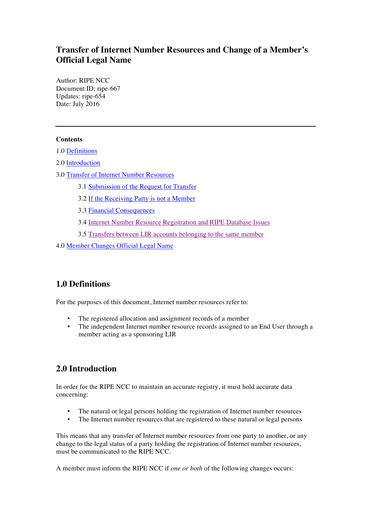# **Transfer of Internet Number Resources and Change of a Member's Official Legal Name**

Author: RIPE NCC Document ID: ripe-667 Updates: ripe-654 Date: July 2016

### **Contents**

1.0 [Definitions](#page-0-0)

2.0 [Introduction](#page-0-1)

- <span id="page-0-7"></span><span id="page-0-6"></span><span id="page-0-5"></span><span id="page-0-4"></span><span id="page-0-3"></span><span id="page-0-2"></span>3.0 [Transfer of Internet Number Resources](#page-1-0)
	- 3.1 [Submission of the Request for Transfer](#page-1-1)
	- 3.2 [If the Receiving](#page-0-2) [Party](#page-0-3) [is](#page-0-5) [not](#page-0-6) [a](#page-0-7) [Member](#page-3-0)
	- 3.3 [Financial Consequences](#page-4-0)
	- 3.4 [Internet Number Resource Registration and RIPE Database Issues](#page-4-1)
	- 3.5 [Transfers between LIR accounts belonging to the same member](#page-4-2)
- <span id="page-0-8"></span>4.0 [Member](#page-0-8) [Changes Official Legal Name](#page-5-0)

# <span id="page-0-0"></span>**1.0 Definitions**

For the purposes of this document, Internet number resources refer to:

- The registered allocation and assignment records of a member<br>• The independent Internet number resource records assigned to
- The independent Internet number resource records assigned to an End User through a member acting as a sponsoring LIR

# <span id="page-0-1"></span>**2.0 Introduction**

In order for the RIPE NCC to maintain an accurate registry, it must hold accurate data concerning:

- The natural or legal persons holding the registration of Internet number resources
- The Internet number resources that are registered to these natural or legal persons

This means that any transfer of Internet number resources from one party to another, or any change to the legal status of a party holding the registration of Internet number resources, must be communicated to the RIPE NCC.

A member must inform the RIPE NCC if *one or both* of the following changes occurs: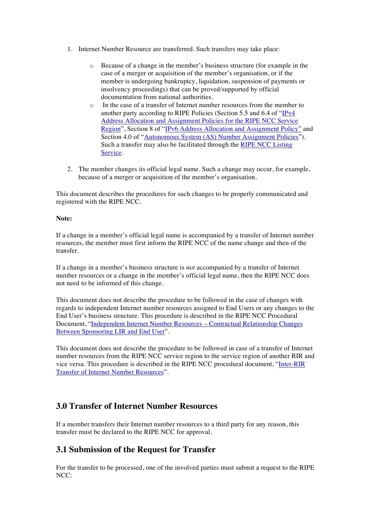- 1. Internet Number Resource are transferred. Such transfers may take place:
	- o Because of a change in the member's business structure (for example in the case of a merger or acquisition of the member's organisation, or if the member is undergoing bankruptcy, liquidation, suspension of payments or insolvency proceedings) that can be proved/supported by official documentation from national authorities.
	- o In the case of a transfer of Internet number resources from the member to another party according to RIPE Policies (Section 5.5 and 6.4 of ["IPv4](https://www.ripe.net/publications/docs/ipv4-policies) [Address Allocation and Assignment Policies for the RIPE NCC Service](https://www.ripe.net/publications/docs/ipv4-policies) [Region"](https://www.ripe.net/publications/docs/ipv4-policies), Section 8 of ["IPv6 Address Allocation and Assignment Policy"](https://www.ripe.net/publications/docs/ipv6-policy) and Section 4.0 of "[Autonomous System \(AS\) Number Assignment Policies](https://www.ripe.net/publications/docs/asn-assignment-policies)"). Such a transfer may also be facilitated through the [RIPE NCC Listing](https://www.ripe.net/manage-ips-and-asns/resource-transfers-and-mergers/transfers/ipv4/listing/listing-services-page) [Service](https://www.ripe.net/manage-ips-and-asns/resource-transfers-and-mergers/transfers/ipv4/listing/listing-services-page).
- 2. The member changes its official legal name. Such a change may occur, for example, because of a merger or acquisition of the member's organisation.

This document describes the procedures for such changes to be properly communicated and registered with the RIPE NCC.

#### **Note:**

If a change in a member's official legal name is accompanied by a transfer of Internet number resources, the member must first inform the RIPE NCC of the name change and then of the transfer.

If a change in a member's business structure is *not* accompanied by a transfer of Internet number resources or a change in the member's official legal name, then the RIPE NCC does not need to be informed of this change.

This document does not describe the procedure to be followed in the case of changes with regards to independent Internet number resources assigned to End Users or any changes to the End User's business structure. This procedure is described in the RIPE NCC Procedural Document, ["Independent Internet Number Resources –](https://www.ripe.net/publications/docs/lir-end-user-contractual-changes) Contractual Relationship Changes [Between Sponsoring LIR and End User](https://www.ripe.net/publications/docs/lir-end-user-contractual-changes)".

This document does not describe the procedure to be followed in case of a transfer of Internet number resources from the RIPE NCC service region to the service region of another RIR and vice versa. This procedure is described in the RIPE NCC procedural document, ["Inter-RIR](https://www.ripe.net/publications/docs/inter-rir-transfer-of-inr) [Transfer of Internet Number Resources](https://www.ripe.net/publications/docs/inter-rir-transfer-of-inr)".

## <span id="page-1-0"></span>**3.0 Transfer of Internet Number Resources**

If a member transfers their Internet number resources to a third party for any reason, this transfer must be declared to the RIPE NCC for approval.

### <span id="page-1-1"></span>**3.1 Submission of the Request for Transfer**

For the transfer to be processed, one of the involved parties must submit a request to the RIPE NCC: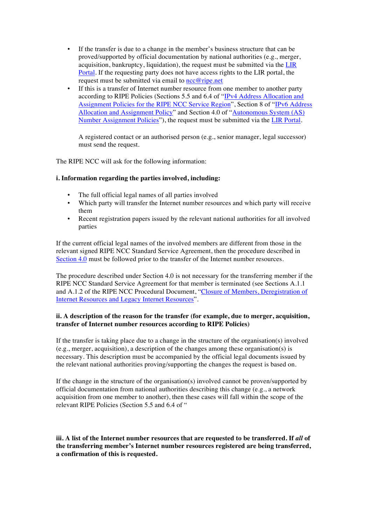- If the transfer is due to a change in the member's business structure that can be proved/supported by official documentation by national authorities (e.g., merger, acquisition, bankruptcy, liquidation), the request must be submitted via the [LIR](https://my.ripe.net/#/update-registry)  [Portal](https://my.ripe.net/#/update-registry). If the requesting party does not have access rights to the LIR portal, the request must be submitted via email to  $\text{ncc@ripe.net}$  $\text{ncc@ripe.net}$  $\text{ncc@ripe.net}$
- If this is a transfer of Internet number resource from one member to another party according to RIPE Policies (Sections 5.5 and 6.4 of "[IPv4 Address Allocation and](https://www.ripe.net/publications/docs/ipv4-policies) [Assignment Policies for the RIPE NCC Service Region](https://www.ripe.net/publications/docs/ipv4-policies)", Section 8 of ["IPv6 Address](https://www.ripe.net/publications/docs/ipv6-policy) [Allocation and Assignment Policy](https://www.ripe.net/publications/docs/ipv6-policy)" and Section 4.0 of ["Autonomous System \(AS\)](https://www.ripe.net/publications/docs/asn-assignment-policies) [Number Assignment Policies](https://www.ripe.net/publications/docs/asn-assignment-policies)"), the request must be submitted via the [LIR Portal](https://my.ripe.net/#/update-registry).

A registered contact or an authorised person (e.g., senior manager, legal successor) must send the request.

The RIPE NCC will ask for the following information:

#### **i. Information regarding the parties involved, including:**

- The full official legal names of all parties involved
- Which party will transfer the Internet number resources and which party will receive them
- Recent registration papers issued by the relevant national authorities for all involved parties

If the current official legal names of the involved members are different from those in the relevant signed RIPE NCC Standard Service Agreement, then the procedure described in [Section 4.0](#page-5-0) must be followed prior to the transfer of the Internet number resources.

The procedure described under Section 4.0 is not necessary for the transferring member if the RIPE NCC Standard Service Agreement for that member is terminated (see Sections A.1.1 and A.1.2 of the RIPE NCC Procedural Document, ["Closure of Members,](https://www.ripe.net/publications/docs/closure) Deregistration of [Internet Resources and Legacy Internet Resources](https://www.ripe.net/publications/docs/closure)".

#### **ii. A description of the reason for the transfer (for example, due to merger, acquisition, transfer of Internet number resources according to RIPE Policies)**

If the transfer is taking place due to a change in the structure of the organisation(s) involved (e.g., merger, acquisition), a description of the changes among these organisation(s) is necessary. This description must be accompanied by the official legal documents issued by the relevant national authorities proving/supporting the changes the request is based on.

If the change in the structure of the organisation(s) involved cannot be proven/supported by official documentation from national authorities describing this change (e.g., a network acquisition from one member to another), then these cases will fall within the scope of the relevant RIPE Policies (Section 5.5 and 6.4 of "

iii. A list of the Internet number resources that are requested to be transferred. If all of **the transferring member's Internet number resources registered are being transferred, a confirmation of this is requested.**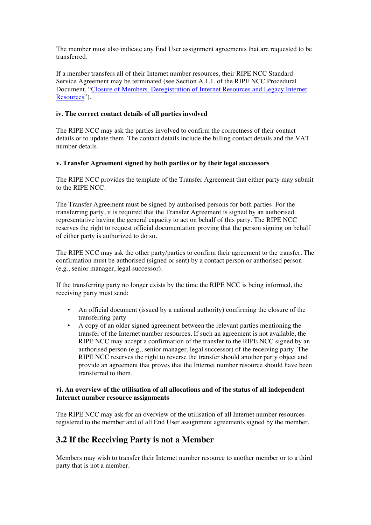The member must also indicate any End User assignment agreements that are requested to be transferred.

If a member transfers all of their Internet number resources, their RIPE NCC Standard Service Agreement may be terminated (see Section A.1.1. of the RIPE NCC Procedural Document, ["Closure of Members, Deregistration of Internet Resources and Legacy Internet](https://www.ripe.net/publications/docs/closure) [Resources](https://www.ripe.net/publications/docs/closure)").

#### **iv. The correct contact details of all parties involved**

The RIPE NCC may ask the parties involved to confirm the correctness of their contact details or to update them. The contact details include the billing contact details and the VAT number details.

### **v. Transfer Agreement signed by both parties or by their legal successors**

The RIPE NCC provides the template of the Transfer Agreement that either party may submit to the RIPE NCC.

The Transfer Agreement must be signed by authorised persons for both parties. For the transferring party, it is required that the Transfer Agreement is signed by an authorised representative having the general capacity to act on behalf of this party. The RIPE NCC reserves the right to request official documentation proving that the person signing on behalf of either party is authorized to do so.

The RIPE NCC may ask the other party/parties to confirm their agreement to the transfer. The confirmation must be authorised (signed or sent) by a contact person or authorised person (e.g., senior manager, legal successor).

If the transferring party no longer exists by the time the RIPE NCC is being informed, the receiving party must send:

- An official document (issued by a national authority) confirming the closure of the transferring party
- A copy of an older signed agreement between the relevant parties mentioning the transfer of the Internet number resources. If such an agreement is not available, the RIPE NCC may accept a confirmation of the transfer to the RIPE NCC signed by an authorised person (e.g., senior manager, legal successor) of the receiving party. The RIPE NCC reserves the right to reverse the transfer should another party object and provide an agreement that proves that the Internet number resource should have been transferred to them.

### **vi. An overview of the utilisation of all allocations and of the status of all independent Internet number resource assignments**

The RIPE NCC may ask for an overview of the utilisation of all Internet number resources registered to the member and of all End User assignment agreements signed by the member.

# <span id="page-3-0"></span>**3.2 If the Receiving Party is not a Member**

Members may wish to transfer their Internet number resource to another member or to a third party that is not a member.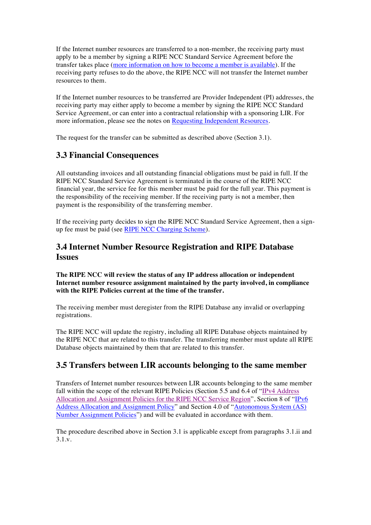If the Internet number resources are transferred to a non-member, the receiving party must apply to be a member by signing a RIPE NCC Standard Service Agreement before the transfer takes place [\(more information on how to become a member is available](https://www.ripe.net/become-a-member)). If the receiving party refuses to do the above, the RIPE NCC will not transfer the Internet number resources to them.

If the Internet number resources to be transferred are Provider Independent (PI) addresses, the receiving party may either apply to become a member by signing the RIPE NCC Standard Service Agreement, or can enter into a contractual relationship with a sponsoring LIR. For more information, please see the notes on [Requesting Independent Resources](https://www.ripe.net/participate/resource-management/independent-resources).

The request for the transfer can be submitted as described above (Section 3.1).

## <span id="page-4-0"></span>**3.3 Financial Consequences**

All outstanding invoices and all outstanding financial obligations must be paid in full. If the RIPE NCC Standard Service Agreement is terminated in the course of the RIPE NCC financial year, the service fee for this member must be paid for the full year. This payment is the responsibility of the receiving member. If the receiving party is not a member, then payment is the responsibility of the transferring member.

If the receiving party decides to sign the RIPE NCC Standard Service Agreement, then a signup fee must be paid (see [RIPE NCC Charging Scheme\)](https://www.ripe.net/publications/docs/charging).

### <span id="page-4-1"></span>**3.4 Internet Number Resource Registration and RIPE Database Issues**

#### **The RIPE NCC will review the status of any IP address allocation or independent Internet number resource assignment maintained by the party involved, in compliance with the RIPE Policies current at the time of the transfer.**

The receiving member must deregister from the RIPE Database any invalid or overlapping registrations.

The RIPE NCC will update the registry, including all RIPE Database objects maintained by the RIPE NCC that are related to this transfer. The transferring member must update all RIPE Database objects maintained by them that are related to this transfer.

### <span id="page-4-2"></span>**3.5 Transfers between LIR accounts belonging to the same member**

Transfers of Internet number resources between LIR accounts belonging to the same member fall within the scope of the relevant RIPE Policies (Section 5.5 and 6.4 of ["IPv4 Address](https://www.ripe.net/publications/docs/ipv4-policies) [Allocation and Assignment Policies for the RIPE NCC Service Region"](https://www.ripe.net/publications/docs/ipv4-policies), Section 8 of ["IPv6](https://www.ripe.net/publications/docs/ipv6-policy)  [Address Allocation and Assignment Policy](https://www.ripe.net/publications/docs/ipv6-policy)" and Section 4.0 of ["Autonomous System \(AS\)](https://www.ripe.net/publications/docs/asn-assignment-policies) [Number Assignment Policies](https://www.ripe.net/publications/docs/asn-assignment-policies)") and will be evaluated in accordance with them.

The procedure described above in Section 3.1 is applicable except from paragraphs 3.1.ii and 3.1.v.